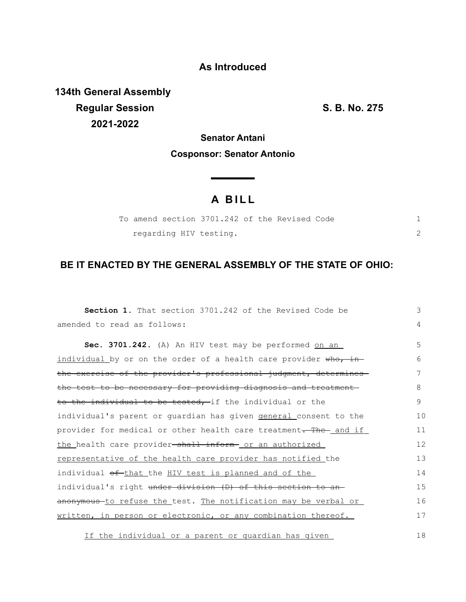### **As Introduced**

**134th General Assembly Regular Session S. B. No. 275 2021-2022**

## **Senator Antani Cosponsor: Senator Antonio**

<u> The Common State State Sta</u>te

# **A B I L L**

|  | To amend section 3701.242 of the Revised Code |  |  |  |
|--|-----------------------------------------------|--|--|--|
|  | regarding HIV testing.                        |  |  |  |

## **BE IT ENACTED BY THE GENERAL ASSEMBLY OF THE STATE OF OHIO:**

| <b>Section 1.</b> That section 3701.242 of the Revised Code be     | 3  |
|--------------------------------------------------------------------|----|
| amended to read as follows:                                        | 4  |
| Sec. 3701.242. (A) An HIV test may be performed on an              | 5  |
| individual by or on the order of a health care provider who, in-   | 6  |
| the exercise of the provider's professional judgment, determines   | 7  |
| the test to be necessary for providing diagnosis and treatment     | 8  |
| to the individual to be tested, if the individual or the           | 9  |
| individual's parent or guardian has given general consent to the   | 10 |
| provider for medical or other health care treatment. The-and if    | 11 |
| the health care provider <del>-shall inform</del> or an authorized | 12 |
| representative of the health care provider has notified the        | 13 |
| individual of that the HIV test is planned and of the              | 14 |
| individual's right under division (D) of this section to an        | 15 |
| anonymous to refuse the test. The notification may be verbal or    | 16 |
| written, in person or electronic, or any combination thereof.      | 17 |

If the individual or a parent or quardian has given 18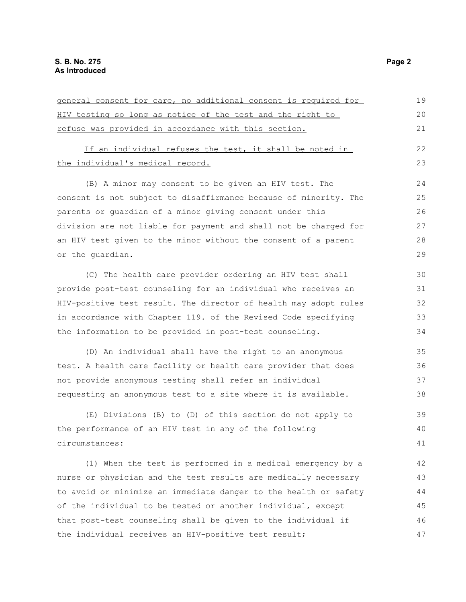| general consent for care, no additional consent is required for  | 19 |
|------------------------------------------------------------------|----|
| HIV testing so long as notice of the test and the right to       | 20 |
| refuse was provided in accordance with this section.             | 21 |
| If an individual refuses the test, it shall be noted in          | 22 |
| the individual's medical record.                                 | 23 |
| (B) A minor may consent to be given an HIV test. The             | 24 |
| consent is not subject to disaffirmance because of minority. The | 25 |
| parents or quardian of a minor giving consent under this         | 26 |
| division are not liable for payment and shall not be charged for | 27 |
| an HIV test given to the minor without the consent of a parent   | 28 |
| or the quardian.                                                 | 29 |
| (C) The health care provider ordering an HIV test shall          | 30 |
| provide post-test counseling for an individual who receives an   | 31 |
| HIV-positive test result. The director of health may adopt rules | 32 |
| in accordance with Chapter 119. of the Revised Code specifying   | 33 |
| the information to be provided in post-test counseling.          | 34 |
| (D) An individual shall have the right to an anonymous           | 35 |
| test. A health care facility or health care provider that does   | 36 |
| not provide anonymous testing shall refer an individual          | 37 |
| requesting an anonymous test to a site where it is available.    | 38 |
| (E) Divisions (B) to (D) of this section do not apply to         | 39 |
| the performance of an HIV test in any of the following           | 40 |
| circumstances:                                                   | 41 |
| (1) When the test is performed in a medical emergency by a       | 42 |
| nurse or physician and the test results are medically necessary  | 43 |
| to avoid or minimize an immediate danger to the health or safety | 44 |
| of the individual to be tested or another individual, except     | 45 |
| that post-test counseling shall be given to the individual if    | 46 |
| the individual receives an HIV-positive test result;             | 47 |